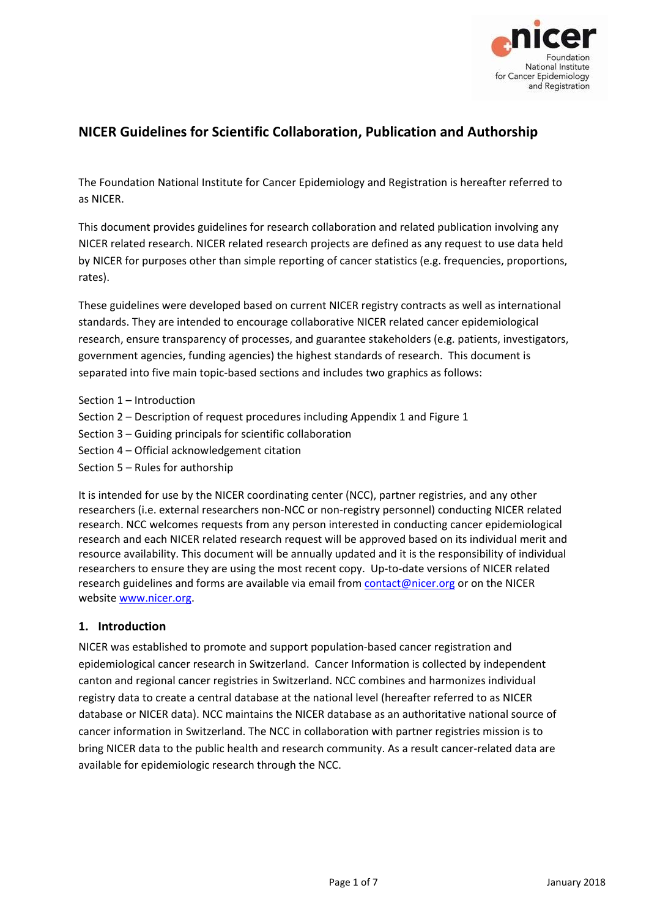

# **NICER Guidelines for Scientific Collaboration, Publication and Authorship**

The Foundation National Institute for Cancer Epidemiology and Registration is hereafter referred to as NICER.

This document provides guidelines for research collaboration and related publication involving any NICER related research. NICER related research projects are defined as any request to use data held by NICER for purposes other than simple reporting of cancer statistics (e.g. frequencies, proportions, rates).

These guidelines were developed based on current NICER registry contracts as well as international standards. They are intended to encourage collaborative NICER related cancer epidemiological research, ensure transparency of processes, and guarantee stakeholders (e.g. patients, investigators, government agencies, funding agencies) the highest standards of research. This document is separated into five main topic‐based sections and includes two graphics as follows:

- Section 1 Introduction
- Section 2 Description of request procedures including Appendix 1 and Figure 1
- Section 3 Guiding principals for scientific collaboration
- Section 4 Official acknowledgement citation
- Section 5 Rules for authorship

It is intended for use by the NICER coordinating center (NCC), partner registries, and any other researchers (i.e. external researchers non‐NCC or non‐registry personnel) conducting NICER related research. NCC welcomes requests from any person interested in conducting cancer epidemiological research and each NICER related research request will be approved based on its individual merit and resource availability. This document will be annually updated and it is the responsibility of individual researchers to ensure they are using the most recent copy. Up‐to‐date versions of NICER related research guidelines and forms are available via email from contact@nicer.org or on the NICER website www.nicer.org.

#### **1. Introduction**

NICER was established to promote and support population‐based cancer registration and epidemiological cancer research in Switzerland. Cancer Information is collected by independent canton and regional cancer registries in Switzerland. NCC combines and harmonizes individual registry data to create a central database at the national level (hereafter referred to as NICER database or NICER data). NCC maintains the NICER database as an authoritative national source of cancer information in Switzerland. The NCC in collaboration with partner registries mission is to bring NICER data to the public health and research community. As a result cancer‐related data are available for epidemiologic research through the NCC.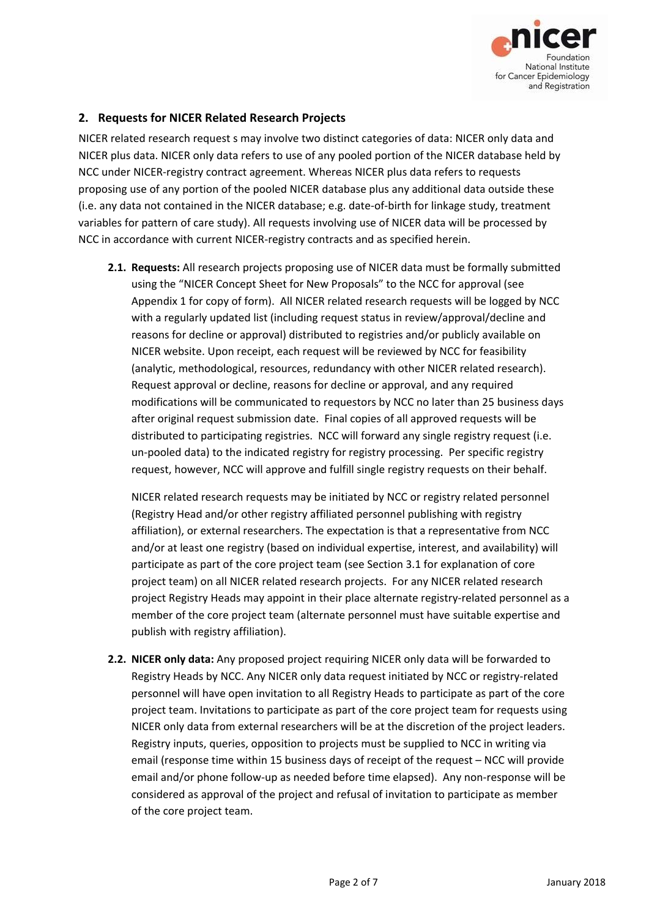

### **2. Requests for NICER Related Research Projects**

NICER related research request s may involve two distinct categories of data: NICER only data and NICER plus data. NICER only data refers to use of any pooled portion of the NICER database held by NCC under NICER‐registry contract agreement. Whereas NICER plus data refers to requests proposing use of any portion of the pooled NICER database plus any additional data outside these (i.e. any data not contained in the NICER database; e.g. date‐of‐birth for linkage study, treatment variables for pattern of care study). All requests involving use of NICER data will be processed by NCC in accordance with current NICER‐registry contracts and as specified herein.

**2.1. Requests:** All research projects proposing use of NICER data must be formally submitted using the "NICER Concept Sheet for New Proposals" to the NCC for approval (see Appendix 1 for copy of form). All NICER related research requests will be logged by NCC with a regularly updated list (including request status in review/approval/decline and reasons for decline or approval) distributed to registries and/or publicly available on NICER website. Upon receipt, each request will be reviewed by NCC for feasibility (analytic, methodological, resources, redundancy with other NICER related research). Request approval or decline, reasons for decline or approval, and any required modifications will be communicated to requestors by NCC no later than 25 business days after original request submission date. Final copies of all approved requests will be distributed to participating registries. NCC will forward any single registry request (i.e. un‐pooled data) to the indicated registry for registry processing. Per specific registry request, however, NCC will approve and fulfill single registry requests on their behalf.

NICER related research requests may be initiated by NCC or registry related personnel (Registry Head and/or other registry affiliated personnel publishing with registry affiliation), or external researchers. The expectation is that a representative from NCC and/or at least one registry (based on individual expertise, interest, and availability) will participate as part of the core project team (see Section 3.1 for explanation of core project team) on all NICER related research projects. For any NICER related research project Registry Heads may appoint in their place alternate registry‐related personnel as a member of the core project team (alternate personnel must have suitable expertise and publish with registry affiliation).

**2.2. NICER only data:** Any proposed project requiring NICER only data will be forwarded to Registry Heads by NCC. Any NICER only data request initiated by NCC or registry‐related personnel will have open invitation to all Registry Heads to participate as part of the core project team. Invitations to participate as part of the core project team for requests using NICER only data from external researchers will be at the discretion of the project leaders. Registry inputs, queries, opposition to projects must be supplied to NCC in writing via email (response time within 15 business days of receipt of the request – NCC will provide email and/or phone follow‐up as needed before time elapsed). Any non‐response will be considered as approval of the project and refusal of invitation to participate as member of the core project team.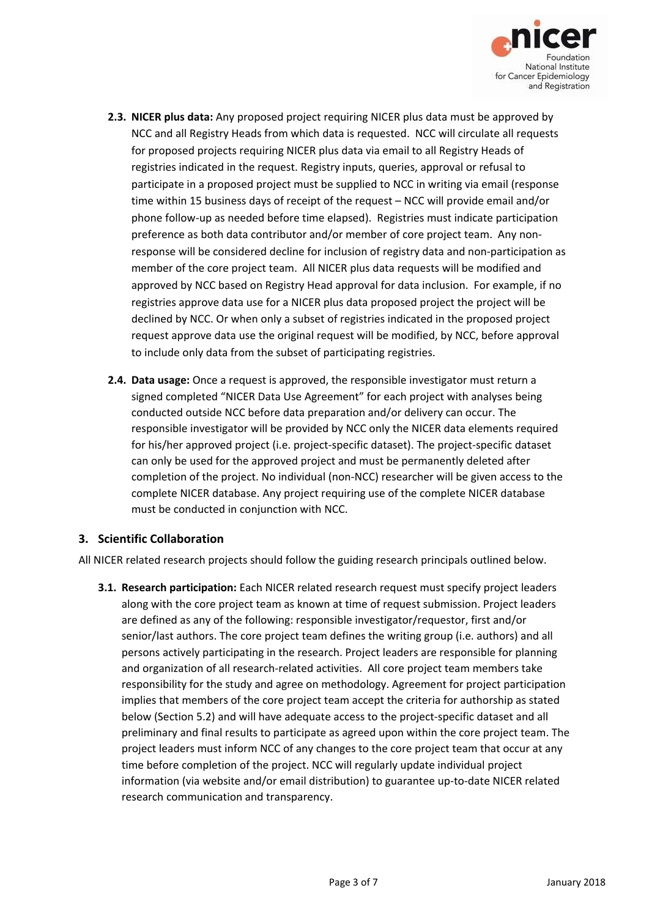

- **2.3. NICER plus data:** Any proposed project requiring NICER plus data must be approved by NCC and all Registry Heads from which data is requested. NCC will circulate all requests for proposed projects requiring NICER plus data via email to all Registry Heads of registries indicated in the request. Registry inputs, queries, approval or refusal to participate in a proposed project must be supplied to NCC in writing via email (response time within 15 business days of receipt of the request – NCC will provide email and/or phone follow‐up as needed before time elapsed). Registries must indicate participation preference as both data contributor and/or member of core project team. Any non‐ response will be considered decline for inclusion of registry data and non-participation as member of the core project team. All NICER plus data requests will be modified and approved by NCC based on Registry Head approval for data inclusion. For example, if no registries approve data use for a NICER plus data proposed project the project will be declined by NCC. Or when only a subset of registries indicated in the proposed project request approve data use the original request will be modified, by NCC, before approval to include only data from the subset of participating registries.
- **2.4. Data usage:** Once a request is approved, the responsible investigator must return a signed completed "NICER Data Use Agreement" for each project with analyses being conducted outside NCC before data preparation and/or delivery can occur. The responsible investigator will be provided by NCC only the NICER data elements required for his/her approved project (i.e. project‐specific dataset). The project‐specific dataset can only be used for the approved project and must be permanently deleted after completion of the project. No individual (non‐NCC) researcher will be given access to the complete NICER database. Any project requiring use of the complete NICER database must be conducted in conjunction with NCC.

### **3. Scientific Collaboration**

All NICER related research projects should follow the guiding research principals outlined below.

**3.1. Research participation:** Each NICER related research request must specify project leaders along with the core project team as known at time of request submission. Project leaders are defined as any of the following: responsible investigator/requestor, first and/or senior/last authors. The core project team defines the writing group (i.e. authors) and all persons actively participating in the research. Project leaders are responsible for planning and organization of all research‐related activities. All core project team members take responsibility for the study and agree on methodology. Agreement for project participation implies that members of the core project team accept the criteria for authorship as stated below (Section 5.2) and will have adequate access to the project‐specific dataset and all preliminary and final results to participate as agreed upon within the core project team. The project leaders must inform NCC of any changes to the core project team that occur at any time before completion of the project. NCC will regularly update individual project information (via website and/or email distribution) to guarantee up-to-date NICER related research communication and transparency.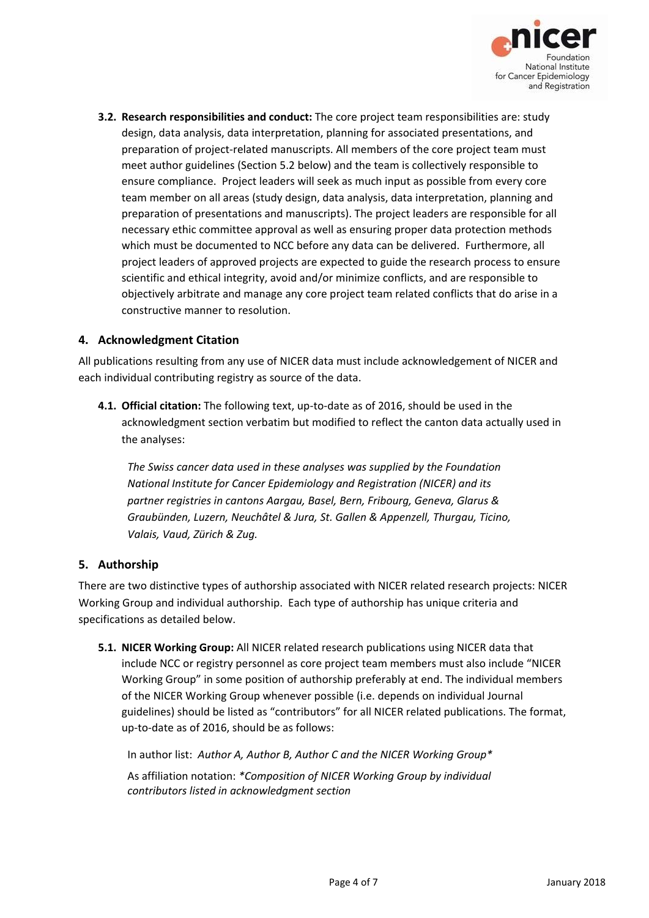

**3.2. Research responsibilities and conduct:** The core project team responsibilities are: study design, data analysis, data interpretation, planning for associated presentations, and preparation of project-related manuscripts. All members of the core project team must meet author guidelines (Section 5.2 below) and the team is collectively responsible to ensure compliance. Project leaders will seek as much input as possible from every core team member on all areas (study design, data analysis, data interpretation, planning and preparation of presentations and manuscripts). The project leaders are responsible for all necessary ethic committee approval as well as ensuring proper data protection methods which must be documented to NCC before any data can be delivered. Furthermore, all project leaders of approved projects are expected to guide the research process to ensure scientific and ethical integrity, avoid and/or minimize conflicts, and are responsible to objectively arbitrate and manage any core project team related conflicts that do arise in a constructive manner to resolution.

### **4. Acknowledgment Citation**

All publications resulting from any use of NICER data must include acknowledgement of NICER and each individual contributing registry as source of the data.

**4.1. Official citation:** The following text, up‐to‐date as of 2016, should be used in the acknowledgment section verbatim but modified to reflect the canton data actually used in the analyses:

*The Swiss cancer data used in these analyses was supplied by the Foundation National Institute for Cancer Epidemiology and Registration (NICER) and its partner registries in cantons Aargau, Basel, Bern, Fribourg, Geneva, Glarus & Graubünden, Luzern, Neuchâtel & Jura, St. Gallen & Appenzell, Thurgau, Ticino, Valais, Vaud, Zürich & Zug.*

### **5. Authorship**

There are two distinctive types of authorship associated with NICER related research projects: NICER Working Group and individual authorship. Each type of authorship has unique criteria and specifications as detailed below.

**5.1. NICER Working Group:** All NICER related research publications using NICER data that include NCC or registry personnel as core project team members must also include "NICER Working Group" in some position of authorship preferably at end. The individual members of the NICER Working Group whenever possible (i.e. depends on individual Journal guidelines) should be listed as "contributors" for all NICER related publications. The format, up‐to‐date as of 2016, should be as follows:

In author list: *Author A, Author B, Author C and the NICER Working Group\**

As affiliation notation: *\*Composition of NICER Working Group by individual contributors listed in acknowledgment section*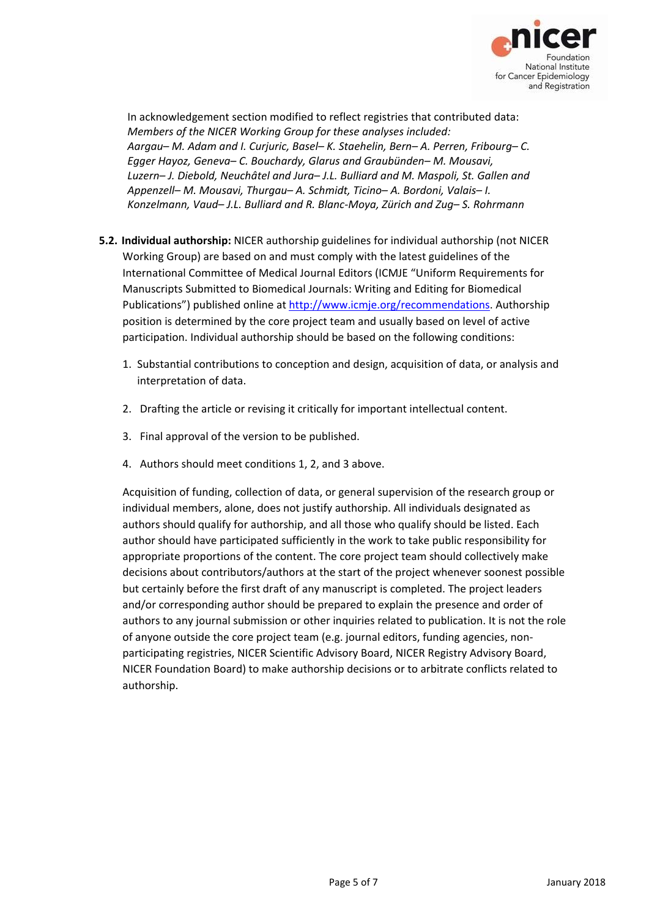

In acknowledgement section modified to reflect registries that contributed data: *Members of the NICER Working Group for these analyses included: Aargau– M. Adam and I. Curjuric, Basel– K. Staehelin, Bern– A. Perren, Fribourg– C. Egger Hayoz, Geneva– C. Bouchardy, Glarus and Graubünden– M. Mousavi, Luzern– J. Diebold, Neuchâtel and Jura– J.L. Bulliard and M. Maspoli, St. Gallen and Appenzell– M. Mousavi, Thurgau– A. Schmidt, Ticino– A. Bordoni, Valais– I. Konzelmann, Vaud– J.L. Bulliard and R. Blanc‐Moya, Zürich and Zug– S. Rohrmann*

- **5.2. Individual authorship:** NICER authorship guidelines for individual authorship (not NICER Working Group) are based on and must comply with the latest guidelines of the International Committee of Medical Journal Editors (ICMJE "Uniform Requirements for Manuscripts Submitted to Biomedical Journals: Writing and Editing for Biomedical Publications") published online at http://www.icmje.org/recommendations. Authorship position is determined by the core project team and usually based on level of active participation. Individual authorship should be based on the following conditions:
	- 1. Substantial contributions to conception and design, acquisition of data, or analysis and interpretation of data.
	- 2. Drafting the article or revising it critically for important intellectual content.
	- 3. Final approval of the version to be published.
	- 4. Authors should meet conditions 1, 2, and 3 above.

Acquisition of funding, collection of data, or general supervision of the research group or individual members, alone, does not justify authorship. All individuals designated as authors should qualify for authorship, and all those who qualify should be listed. Each author should have participated sufficiently in the work to take public responsibility for appropriate proportions of the content. The core project team should collectively make decisions about contributors/authors at the start of the project whenever soonest possible but certainly before the first draft of any manuscript is completed. The project leaders and/or corresponding author should be prepared to explain the presence and order of authors to any journal submission or other inquiries related to publication. It is not the role of anyone outside the core project team (e.g. journal editors, funding agencies, non‐ participating registries, NICER Scientific Advisory Board, NICER Registry Advisory Board, NICER Foundation Board) to make authorship decisions or to arbitrate conflicts related to authorship.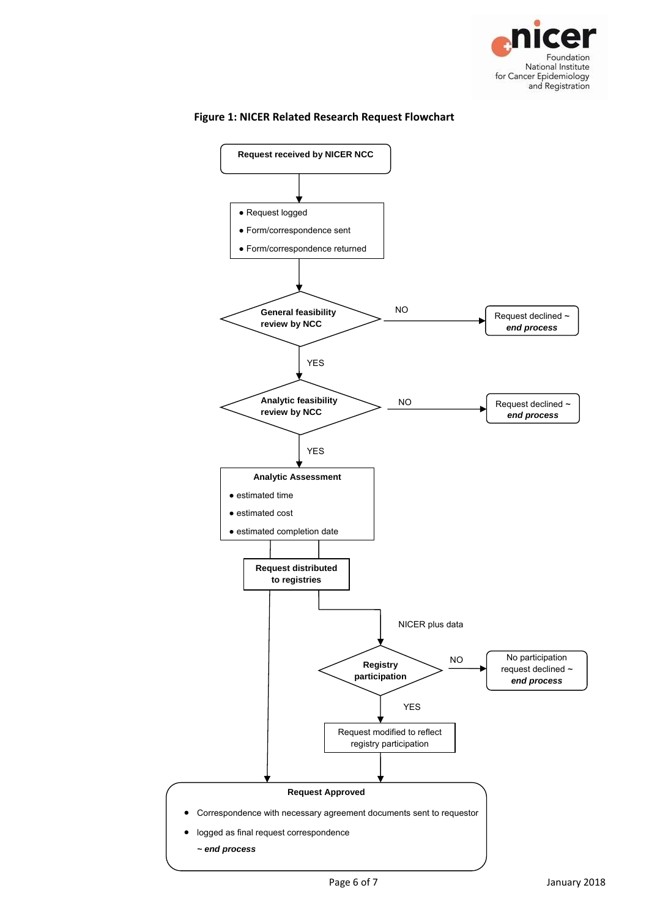



#### **Figure 1: NICER Related Research Request Flowchart**